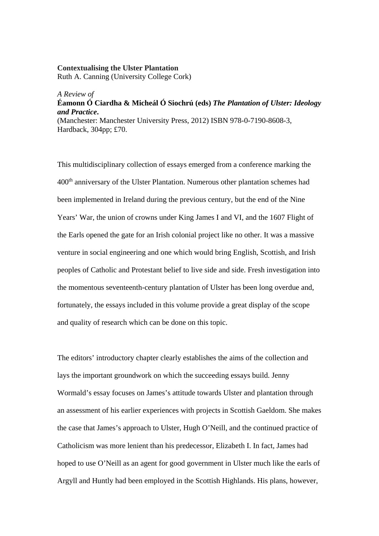## **Contextualising the Ulster Plantation** Ruth A. Canning (University College Cork)

## *A Review of*  **Éamonn Ó Ciardha & Micheál Ó Siochrú (eds)** *The Plantation of Ulster: Ideology and Practice***.**  (Manchester: Manchester University Press, 2012) ISBN 978-0-7190-8608-3, Hardback, 304pp; £70.

This multidisciplinary collection of essays emerged from a conference marking the 400th anniversary of the Ulster Plantation. Numerous other plantation schemes had been implemented in Ireland during the previous century, but the end of the Nine Years' War, the union of crowns under King James I and VI, and the 1607 Flight of the Earls opened the gate for an Irish colonial project like no other. It was a massive venture in social engineering and one which would bring English, Scottish, and Irish peoples of Catholic and Protestant belief to live side and side. Fresh investigation into the momentous seventeenth-century plantation of Ulster has been long overdue and, fortunately, the essays included in this volume provide a great display of the scope and quality of research which can be done on this topic.

The editors' introductory chapter clearly establishes the aims of the collection and lays the important groundwork on which the succeeding essays build. Jenny Wormald's essay focuses on James's attitude towards Ulster and plantation through an assessment of his earlier experiences with projects in Scottish Gaeldom. She makes the case that James's approach to Ulster, Hugh O'Neill, and the continued practice of Catholicism was more lenient than his predecessor, Elizabeth I. In fact, James had hoped to use O'Neill as an agent for good government in Ulster much like the earls of Argyll and Huntly had been employed in the Scottish Highlands. His plans, however,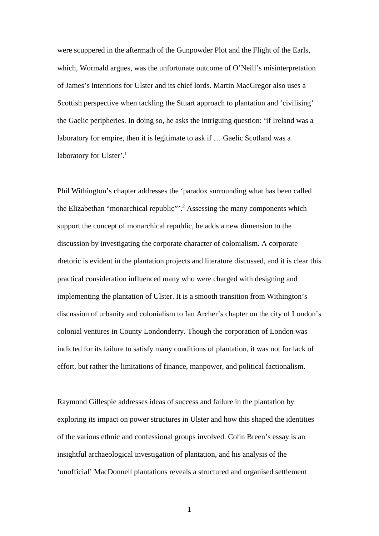were scuppered in the aftermath of the Gunpowder Plot and the Flight of the Earls, which, Wormald argues, was the unfortunate outcome of O'Neill's misinterpretation of James's intentions for Ulster and its chief lords. Martin MacGregor also uses a Scottish perspective when tackling the Stuart approach to plantation and 'civilising' the Gaelic peripheries. In doing so, he asks the intriguing question: 'if Ireland was a laboratory for empire, then it is legitimate to ask if … Gaelic Scotland was a laboratory for Ulster'.<sup>1</sup>

Phil Withington's chapter addresses the 'paradox surrounding what has been called the Elizabethan "monarchical republic"<sup>2</sup> Assessing the many components which support the concept of monarchical republic, he adds a new dimension to the discussion by investigating the corporate character of colonialism. A corporate rhetoric is evident in the plantation projects and literature discussed, and it is clear this practical consideration influenced many who were charged with designing and implementing the plantation of Ulster. It is a smooth transition from Withington's discussion of urbanity and colonialism to Ian Archer's chapter on the city of London's colonial ventures in County Londonderry. Though the corporation of London was indicted for its failure to satisfy many conditions of plantation, it was not for lack of effort, but rather the limitations of finance, manpower, and political factionalism.

Raymond Gillespie addresses ideas of success and failure in the plantation by exploring its impact on power structures in Ulster and how this shaped the identities of the various ethnic and confessional groups involved. Colin Breen's essay is an insightful archaeological investigation of plantation, and his analysis of the 'unofficial' MacDonnell plantations reveals a structured and organised settlement

1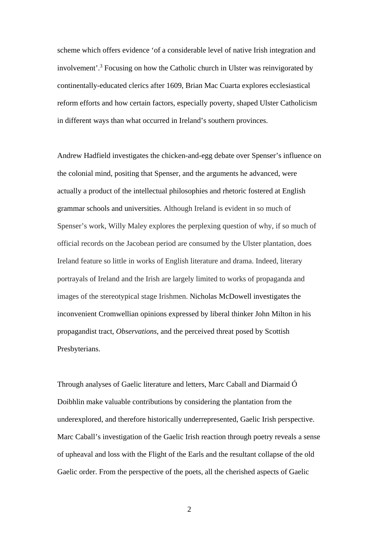scheme which offers evidence 'of a considerable level of native Irish integration and involvement'.<sup>3</sup> Focusing on how the Catholic church in Ulster was reinvigorated by continentally-educated clerics after 1609, Brian Mac Cuarta explores ecclesiastical reform efforts and how certain factors, especially poverty, shaped Ulster Catholicism in different ways than what occurred in Ireland's southern provinces.

Andrew Hadfield investigates the chicken-and-egg debate over Spenser's influence on the colonial mind, positing that Spenser, and the arguments he advanced, were actually a product of the intellectual philosophies and rhetoric fostered at English grammar schools and universities. Although Ireland is evident in so much of Spenser's work, Willy Maley explores the perplexing question of why, if so much of official records on the Jacobean period are consumed by the Ulster plantation, does Ireland feature so little in works of English literature and drama. Indeed, literary portrayals of Ireland and the Irish are largely limited to works of propaganda and images of the stereotypical stage Irishmen. Nicholas McDowell investigates the inconvenient Cromwellian opinions expressed by liberal thinker John Milton in his propagandist tract, *Observations*, and the perceived threat posed by Scottish Presbyterians.

Through analyses of Gaelic literature and letters, Marc Caball and Diarmaid Ó Doibhlin make valuable contributions by considering the plantation from the underexplored, and therefore historically underrepresented, Gaelic Irish perspective. Marc Caball's investigation of the Gaelic Irish reaction through poetry reveals a sense of upheaval and loss with the Flight of the Earls and the resultant collapse of the old Gaelic order. From the perspective of the poets, all the cherished aspects of Gaelic

2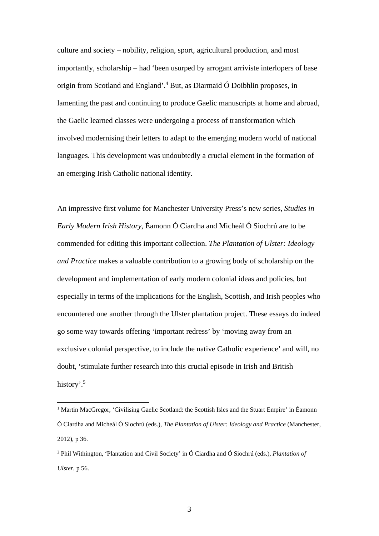culture and society – nobility, religion, sport, agricultural production, and most importantly, scholarship – had 'been usurped by arrogant arriviste interlopers of base origin from Scotland and England'.<sup>4</sup> But, as Diarmaid Ó Doibhlin proposes, in lamenting the past and continuing to produce Gaelic manuscripts at home and abroad, the Gaelic learned classes were undergoing a process of transformation which involved modernising their letters to adapt to the emerging modern world of national languages. This development was undoubtedly a crucial element in the formation of an emerging Irish Catholic national identity.

An impressive first volume for Manchester University Press's new series, *Studies in Early Modern Irish History*, Éamonn Ó Ciardha and Micheál Ó Siochrú are to be commended for editing this important collection. *The Plantation of Ulster: Ideology and Practice* makes a valuable contribution to a growing body of scholarship on the development and implementation of early modern colonial ideas and policies, but especially in terms of the implications for the English, Scottish, and Irish peoples who encountered one another through the Ulster plantation project. These essays do indeed go some way towards offering 'important redress' by 'moving away from an exclusive colonial perspective, to include the native Catholic experience' and will, no doubt, 'stimulate further research into this crucial episode in Irish and British history'.<sup>5</sup>

<u>.</u>

<sup>&</sup>lt;sup>1</sup> Martin MacGregor, 'Civilising Gaelic Scotland: the Scottish Isles and the Stuart Empire' in Éamonn Ó Ciardha and Micheál Ó Siochrú (eds.), *The Plantation of Ulster: Ideology and Practice* (Manchester, 2012), p 36.

<sup>2</sup> Phil Withington, 'Plantation and Civil Society' in Ó Ciardha and Ó Siochrú (eds.), *Plantation of Ulster*, p 56.